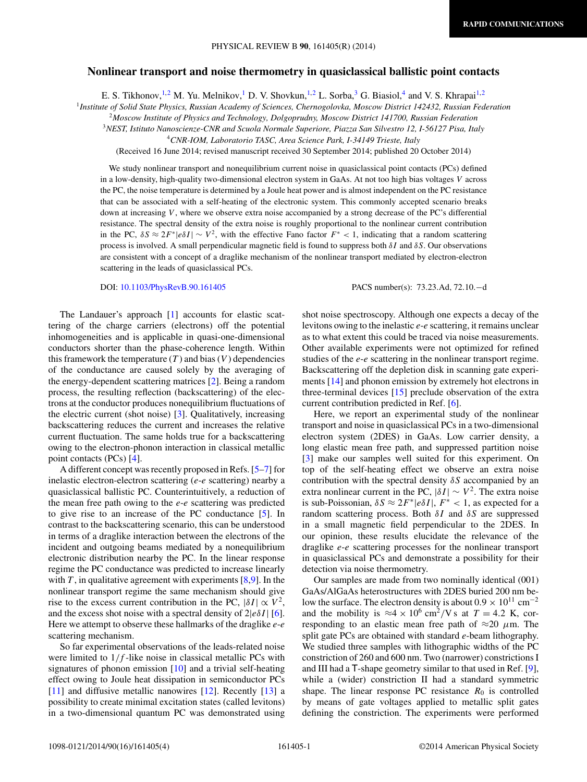## **Nonlinear transport and noise thermometry in quasiclassical ballistic point contacts**

E. S. Tikhonov,<sup>1,2</sup> M. Yu. Melnikov,<sup>1</sup> D. V. Shovkun,<sup>1,2</sup> L. Sorba,<sup>3</sup> G. Biasiol,<sup>4</sup> and V. S. Khrapai<sup>1,2</sup>

<sup>1</sup>*Institute of Solid State Physics, Russian Academy of Sciences, Chernogolovka, Moscow District 142432, Russian Federation*

<sup>2</sup>*Moscow Institute of Physics and Technology, Dolgoprudny, Moscow District 141700, Russian Federation*

<sup>3</sup>*NEST, Istituto Nanoscienze-CNR and Scuola Normale Superiore, Piazza San Silvestro 12, I-56127 Pisa, Italy*

<sup>4</sup>*CNR-IOM, Laboratorio TASC, Area Science Park, I-34149 Trieste, Italy*

(Received 16 June 2014; revised manuscript received 30 September 2014; published 20 October 2014)

We study nonlinear transport and nonequilibrium current noise in quasiclassical point contacts (PCs) defined in a low-density, high-quality two-dimensional electron system in GaAs. At not too high bias voltages *V* across the PC, the noise temperature is determined by a Joule heat power and is almost independent on the PC resistance that can be associated with a self-heating of the electronic system. This commonly accepted scenario breaks down at increasing *V*, where we observe extra noise accompanied by a strong decrease of the PC's differential resistance. The spectral density of the extra noise is roughly proportional to the nonlinear current contribution in the PC,  $\delta S \approx 2F^*|e\delta I| \sim V^2$ , with the effective Fano factor  $F^* < 1$ , indicating that a random scattering process is involved. A small perpendicular magnetic field is found to suppress both *δI* and *δS*. Our observations are consistent with a concept of a draglike mechanism of the nonlinear transport mediated by electron-electron scattering in the leads of quasiclassical PCs.

DOI: [10.1103/PhysRevB.90.161405](http://dx.doi.org/10.1103/PhysRevB.90.161405) PACS number(s): 73*.*23*.*Ad*,* 72*.*10*.*−d

The Landauer's approach [\[1\]](#page-3-0) accounts for elastic scattering of the charge carriers (electrons) off the potential inhomogeneities and is applicable in quasi-one-dimensional conductors shorter than the phase-coherence length. Within this framework the temperature  $(T)$  and bias  $(V)$  dependencies of the conductance are caused solely by the averaging of the energy-dependent scattering matrices [\[2\]](#page-3-0). Being a random process, the resulting reflection (backscattering) of the electrons at the conductor produces nonequilibrium fluctuations of the electric current (shot noise) [\[3\]](#page-3-0). Qualitatively, increasing backscattering reduces the current and increases the relative current fluctuation. The same holds true for a backscattering owing to the electron-phonon interaction in classical metallic point contacts (PCs) [\[4\]](#page-3-0).

A different concept was recently proposed in Refs. [\[5–7\]](#page-3-0) for inelastic electron-electron scattering (*e*-*e* scattering) nearby a quasiclassical ballistic PC. Counterintuitively, a reduction of the mean free path owing to the *e*-*e* scattering was predicted to give rise to an increase of the PC conductance [\[5\]](#page-3-0). In contrast to the backscattering scenario, this can be understood in terms of a draglike interaction between the electrons of the incident and outgoing beams mediated by a nonequilibrium electronic distribution nearby the PC. In the linear response regime the PC conductance was predicted to increase linearly with  $T$ , in qualitative agreement with experiments  $[8,9]$ . In the nonlinear transport regime the same mechanism should give rise to the excess current contribution in the PC,  $|\delta I| \propto V^2$ , and the excess shot noise with a spectral density of  $2|e\delta I|$  [\[6\]](#page-3-0). Here we attempt to observe these hallmarks of the draglike *e*-*e* scattering mechanism.

So far experimental observations of the leads-related noise were limited to  $1/f$ -like noise in classical metallic PCs with signatures of phonon emission [\[10\]](#page-3-0) and a trivial self-heating effect owing to Joule heat dissipation in semiconductor PCs [\[11\]](#page-3-0) and diffusive metallic nanowires [\[12\]](#page-3-0). Recently [\[13\]](#page-3-0) a possibility to create minimal excitation states (called levitons) in a two-dimensional quantum PC was demonstrated using shot noise spectroscopy. Although one expects a decay of the levitons owing to the inelastic *e*-*e* scattering, it remains unclear as to what extent this could be traced via noise measurements. Other available experiments were not optimized for refined studies of the *e*-*e* scattering in the nonlinear transport regime. Backscattering off the depletion disk in scanning gate experiments [\[14\]](#page-3-0) and phonon emission by extremely hot electrons in three-terminal devices [\[15\]](#page-3-0) preclude observation of the extra current contribution predicted in Ref. [\[6\]](#page-3-0).

Here, we report an experimental study of the nonlinear transport and noise in quasiclassical PCs in a two-dimensional electron system (2DES) in GaAs. Low carrier density, a long elastic mean free path, and suppressed partition noise [\[3\]](#page-3-0) make our samples well suited for this experiment. On top of the self-heating effect we observe an extra noise contribution with the spectral density *δS* accompanied by an extra nonlinear current in the PC,  $|\delta I| \sim V^2$ . The extra noise is sub-Poissonian,  $\delta S \approx 2F^*|e\delta I|$ ,  $F^* < 1$ , as expected for a random scattering process. Both *δI* and *δS* are suppressed in a small magnetic field perpendicular to the 2DES. In our opinion, these results elucidate the relevance of the draglike *e*-*e* scattering processes for the nonlinear transport in quasiclassical PCs and demonstrate a possibility for their detection via noise thermometry.

Our samples are made from two nominally identical (001) GaAs/AlGaAs heterostructures with 2DES buried 200 nm below the surface. The electron density is about  $0.9 \times 10^{11}$  cm<sup>-2</sup> and the mobility is  $\approx 4 \times 10^6$  cm<sup>2</sup>/V s at  $T = 4.2$  K, corresponding to an elastic mean free path of  $\approx$ 20  $\mu$ m. The split gate PCs are obtained with standard *e*-beam lithography. We studied three samples with lithographic widths of the PC constriction of 260 and 600 nm. Two (narrower) constrictions I and III had a T-shape geometry similar to that used in Ref. [\[9\]](#page-3-0), while a (wider) constriction II had a standard symmetric shape. The linear response PC resistance  $R_0$  is controlled by means of gate voltages applied to metallic split gates defining the constriction. The experiments were performed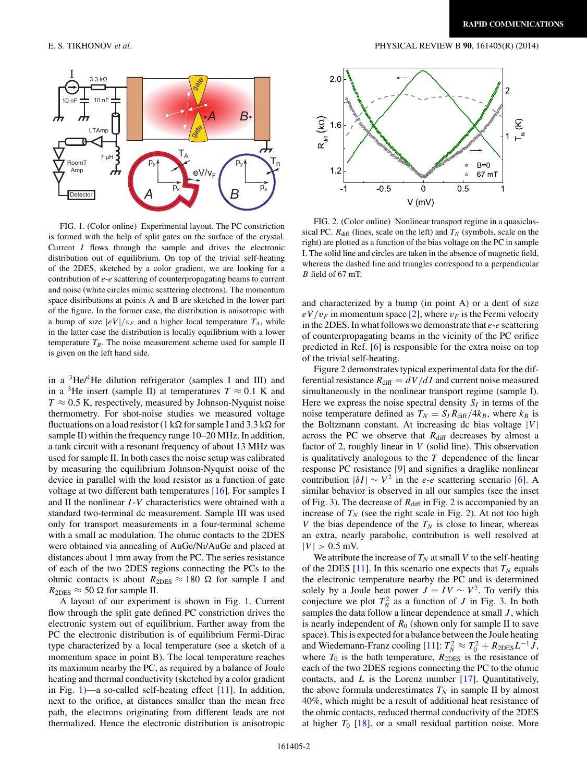<span id="page-1-0"></span>

FIG. 1. (Color online) Experimental layout. The PC constriction is formed with the help of split gates on the surface of the crystal. Current *I* flows through the sample and drives the electronic distribution out of equilibrium. On top of the trivial self-heating of the 2DES, sketched by a color gradient, we are looking for a contribution of *e*-*e* scattering of counterpropagating beams to current and noise (white circles mimic scattering electrons). The momentum space distributions at points A and B are sketched in the lower part of the figure. In the former case, the distribution is anisotropic with a bump of size  $|eV|/v_F$  and a higher local temperature  $T_A$ , while in the latter case the distribution is locally equilibrium with a lower temperature  $T_B$ . The noise measurement scheme used for sample II is given on the left hand side.

in a  ${}^{3}$ He/<sup>4</sup>He dilution refrigerator (samples I and III) and in a <sup>3</sup>He insert (sample II) at temperatures  $T \approx 0.1$  K and  $T \approx 0.5$  K, respectively, measured by Johnson-Nyquist noise thermometry. For shot-noise studies we measured voltage fluctuations on a load resistor (1 k $\Omega$  for sample I and 3.3 k $\Omega$  for sample II) within the frequency range 10–20 MHz. In addition, a tank circuit with a resonant frequency of about 13 MHz was used for sample II. In both cases the noise setup was calibrated by measuring the equilibrium Johnson-Nyquist noise of the device in parallel with the load resistor as a function of gate voltage at two different bath temperatures [\[16\]](#page-3-0). For samples I and II the nonlinear *I* -*V* characteristics were obtained with a standard two-terminal dc measurement. Sample III was used only for transport measurements in a four-terminal scheme with a small ac modulation. The ohmic contacts to the 2DES were obtained via annealing of AuGe/Ni/AuGe and placed at distances about 1 mm away from the PC. The series resistance of each of the two 2DES regions connecting the PCs to the ohmic contacts is about  $R_{2DES} \approx 180 \Omega$  for sample I and  $R_{\text{2DES}} \approx 50 \Omega$  for sample II.

A layout of our experiment is shown in Fig. 1. Current flow through the split gate defined PC constriction drives the electronic system out of equilibrium. Farther away from the PC the electronic distribution is of equilibrium Fermi-Dirac type characterized by a local temperature (see a sketch of a momentum space in point B). The local temperature reaches its maximum nearby the PC, as required by a balance of Joule heating and thermal conductivity (sketched by a color gradient in Fig. 1)—a so-called self-heating effect [\[11\]](#page-3-0). In addition, next to the orifice, at distances smaller than the mean free path, the electrons originating from different leads are not thermalized. Hence the electronic distribution is anisotropic



FIG. 2. (Color online) Nonlinear transport regime in a quasiclassical PC.  $R_{\text{diff}}$  (lines, scale on the left) and  $T_N$  (symbols, scale on the right) are plotted as a function of the bias voltage on the PC in sample I. The solid line and circles are taken in the absence of magnetic field, whereas the dashed line and triangles correspond to a perpendicular *B* field of 67 mT.

and characterized by a bump (in point A) or a dent of size  $eV/v_F$  in momentum space [\[2\]](#page-3-0), where  $v_F$  is the Fermi velocity in the 2DES. In what follows we demonstrate that *e*-*e* scattering of counterpropagating beams in the vicinity of the PC orifice predicted in Ref. [\[6\]](#page-3-0) is responsible for the extra noise on top of the trivial self-heating.

Figure 2 demonstrates typical experimental data for the differential resistance  $R_{\text{diff}} = dV/dI$  and current noise measured simultaneously in the nonlinear transport regime (sample I). Here we express the noise spectral density  $S_I$  in terms of the noise temperature defined as  $T_N = S_I R_{\text{diff}} / 4k_B$ , where  $k_B$  is the Boltzmann constant. At increasing dc bias voltage  $|V|$ across the PC we observe that  $R_{\text{diff}}$  decreases by almost a factor of 2, roughly linear in *V* (solid line). This observation is qualitatively analogous to the *T* dependence of the linear response PC resistance [\[9\]](#page-3-0) and signifies a draglike nonlinear contribution  $|\delta I| \sim V^2$  in the *e*-*e* scattering scenario [\[6\]](#page-3-0). A similar behavior is observed in all our samples (see the inset of Fig. [3\)](#page-2-0). The decrease of  $R_{\text{diff}}$  in Fig. 2 is accompanied by an increase of  $T_N$  (see the right scale in Fig. 2). At not too high *V* the bias dependence of the  $T_N$  is close to linear, whereas an extra, nearly parabolic, contribution is well resolved at  $|V| > 0.5$  mV.

We attribute the increase of  $T_N$  at small V to the self-heating of the 2DES  $[11]$ . In this scenario one expects that  $T_N$  equals the electronic temperature nearby the PC and is determined solely by a Joule heat power  $J = IV \sim V^2$ . To verify this conjecture we plot  $T_N^2$  as a function of *J* in Fig. [3.](#page-2-0) In both samples the data follow a linear dependence at small *J* , which is nearly independent of  $R_0$  (shown only for sample II to save space). This is expected for a balance between the Joule heating and Wiedemann-Franz cooling  $[11]$ :  $T_N^2 \approx T_0^2 + R_{2DES}L^{-1}J$ , where  $T_0$  is the bath temperature,  $R_{2DES}$  is the resistance of each of the two 2DES regions connecting the PC to the ohmic contacts, and *L* is the Lorenz number [\[17\]](#page-3-0). Quantitatively, the above formula underestimates  $T_N$  in sample II by almost 40%, which might be a result of additional heat resistance of the ohmic contacts, reduced thermal conductivity of the 2DES at higher  $T_0$  [\[18\]](#page-3-0), or a small residual partition noise. More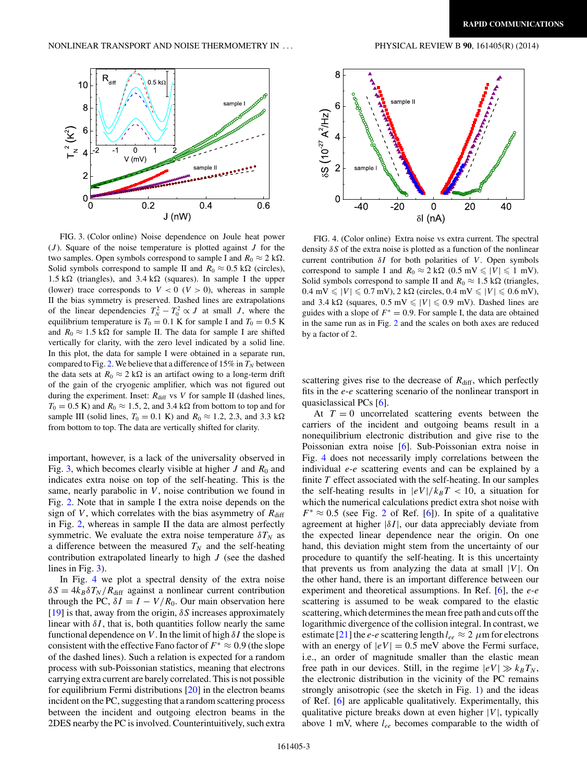<span id="page-2-0"></span> $10$ 

8

 $6\phantom{1}6$  $\int_{N}^{2}$   $(K^{2})$ 

4

 $\overline{2}$ 

 $\mathbf 0$ 



FIG. 3. (Color online) Noise dependence on Joule heat power (*J* ). Square of the noise temperature is plotted against *J* for the two samples. Open symbols correspond to sample I and  $R_0 \approx 2 \text{ k}\Omega$ . Solid symbols correspond to sample II and  $R_0 \approx 0.5 \text{ k}\Omega$  (circles),  $1.5 \text{ k}\Omega$  (triangles), and  $3.4 \text{ k}\Omega$  (squares). In sample I the upper (lower) trace corresponds to  $V < 0$  ( $V > 0$ ), whereas in sample II the bias symmetry is preserved. Dashed lines are extrapolations of the linear dependencies  $T_N^2 - T_0^2 \propto J$  at small *J*, where the equilibrium temperature is  $T_0 = 0.1$  K for sample I and  $T_0 = 0.5$  K and  $R_0 \approx 1.5 \text{ k}\Omega$  for sample II. The data for sample I are shifted vertically for clarity, with the zero level indicated by a solid line. In this plot, the data for sample I were obtained in a separate run, compared to Fig. [2.](#page-1-0) We believe that a difference of  $15\%$  in  $T_N$  between the data sets at  $R_0 \approx 2 \text{ k}\Omega$  is an artifact owing to a long-term drift of the gain of the cryogenic amplifier, which was not figured out during the experiment. Inset:  $R_{\text{diff}}$  vs  $V$  for sample II (dashed lines,  $T_0 = 0.5$  K) and  $R_0 \approx 1.5$ , 2, and 3.4 k $\Omega$  from bottom to top and for sample III (solid lines,  $T_0 = 0.1$  K) and  $R_0 \approx 1.2, 2.3$ , and 3.3 k $\Omega$ from bottom to top. The data are vertically shifted for clarity.

important, however, is a lack of the universality observed in Fig. 3, which becomes clearly visible at higher  $J$  and  $R_0$  and indicates extra noise on top of the self-heating. This is the same, nearly parabolic in *V*, noise contribution we found in Fig. [2.](#page-1-0) Note that in sample I the extra noise depends on the sign of *V*, which correlates with the bias asymmetry of  $R_{\text{diff}}$ in Fig. [2,](#page-1-0) whereas in sample II the data are almost perfectly symmetric. We evaluate the extra noise temperature  $\delta T_N$  as a difference between the measured  $T_N$  and the self-heating contribution extrapolated linearly to high *J* (see the dashed lines in Fig. 3).

In Fig. 4 we plot a spectral density of the extra noise  $\delta S = 4k_B \delta T_N / R_{\text{diff}}$  against a nonlinear current contribution through the PC,  $\delta I = I - V/R_0$ . Our main observation here [\[19\]](#page-3-0) is that, away from the origin, *δS* increases approximately linear with  $\delta I$ , that is, both quantities follow nearly the same functional dependence on *V* . In the limit of high *δI* the slope is consistent with the effective Fano factor of  $F^* \approx 0.9$  (the slope of the dashed lines). Such a relation is expected for a random process with sub-Poissonian statistics, meaning that electrons carrying extra current are barely correlated. This is not possible for equilibrium Fermi distributions  $[20]$  in the electron beams incident on the PC, suggesting that a random scattering process between the incident and outgoing electron beams in the 2DES nearby the PC is involved. Counterintuitively, such extra



FIG. 4. (Color online) Extra noise vs extra current. The spectral density *δS* of the extra noise is plotted as a function of the nonlinear current contribution *δI* for both polarities of *V*. Open symbols correspond to sample I and  $R_0 \approx 2 \text{ k}\Omega$  (0.5 mV  $\leq |V| \leq 1 \text{ mV}$ ). Solid symbols correspond to sample II and  $R_0 \approx 1.5 \text{ k}\Omega$  (triangles,  $0.4 \text{ mV} \leq |V| \leq 0.7 \text{ mV}$ ,  $2 \text{ k}\Omega$  (circles,  $0.4 \text{ mV} \leq |V| \leq 0.6 \text{ mV}$ ), and 3.4 k $\Omega$  (squares,  $0.5$  mV  $\leq$  |*V*|  $\leq$  0.9 mV). Dashed lines are guides with a slope of  $F^* = 0.9$ . For sample I, the data are obtained in the same run as in Fig. [2](#page-1-0) and the scales on both axes are reduced by a factor of 2.

scattering gives rise to the decrease of  $R_{\text{diff}}$ , which perfectly fits in the *e*-*e* scattering scenario of the nonlinear transport in quasiclassical PCs [\[6\]](#page-3-0).

At  $T = 0$  uncorrelated scattering events between the carriers of the incident and outgoing beams result in a nonequilibrium electronic distribution and give rise to the Poissonian extra noise [\[6\]](#page-3-0). Sub-Poissonian extra noise in Fig. 4 does not necessarily imply correlations between the individual *e*-*e* scattering events and can be explained by a finite *T* effect associated with the self-heating. In our samples the self-heating results in  $|eV|/k_BT < 10$ , a situation for which the numerical calculations predict extra shot noise with  $F^* \approx 0.5$  (see Fig. [2](#page-1-0) of Ref. [\[6\]](#page-3-0)). In spite of a qualitative agreement at higher  $|\delta I|$ , our data appreciably deviate from the expected linear dependence near the origin. On one hand, this deviation might stem from the uncertainty of our procedure to quantify the self-heating. It is this uncertainty that prevents us from analyzing the data at small  $|V|$ . On the other hand, there is an important difference between our experiment and theoretical assumptions. In Ref. [\[6\]](#page-3-0), the *e*-*e* scattering is assumed to be weak compared to the elastic scattering, which determines the mean free path and cuts off the logarithmic divergence of the collision integral. In contrast, we estimate [\[21\]](#page-3-0) the *e*-*e* scattering length  $l_{ee} \approx 2 \mu$ m for electrons with an energy of  $|eV| = 0.5$  meV above the Fermi surface, i.e., an order of magnitude smaller than the elastic mean free path in our devices. Still, in the regime  $|eV| \gg k_B T_N$ , the electronic distribution in the vicinity of the PC remains strongly anisotropic (see the sketch in Fig. [1\)](#page-1-0) and the ideas of Ref. [\[6\]](#page-3-0) are applicable qualitatively. Experimentally, this qualitative picture breaks down at even higher  $|V|$ , typically above 1 mV, where *lee* becomes comparable to the width of